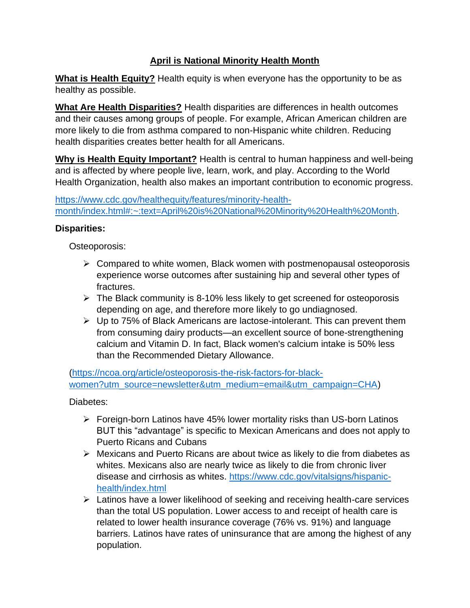## **April is National Minority Health Month**

**What is Health Equity?** Health equity is when everyone has the opportunity to be as healthy as possible.

**What Are Health Disparities?** Health disparities are differences in health outcomes and their causes among groups of people. For example, African American children are more likely to die from asthma compared to non-Hispanic white children. Reducing health disparities creates better health for all Americans.

**Why is Health Equity Important?** Health is central to human happiness and well-being and is affected by where people live, learn, work, and play. According to the World Health Organization, health also makes an important contribution to economic progress.

[https://www.cdc.gov/healthequity/features/minority-health](https://www.cdc.gov/healthequity/features/minority-health-month/index.html#:~:text=April%20is%20National%20Minority%20Health%20Month)[month/index.html#:~:text=April%20is%20National%20Minority%20Health%20Month.](https://www.cdc.gov/healthequity/features/minority-health-month/index.html#:~:text=April%20is%20National%20Minority%20Health%20Month)

## **Disparities:**

Osteoporosis:

- $\triangleright$  Compared to white women, Black women with postmenopausal osteoporosis experience worse outcomes after sustaining hip and several other types of fractures.
- $\triangleright$  The Black community is 8-10% less likely to get screened for osteoporosis depending on age, and therefore more likely to go undiagnosed.
- ➢ Up to 75% of Black Americans are lactose-intolerant. This can prevent them from consuming dairy products—an excellent source of bone-strengthening calcium and Vitamin D. In fact, Black women's calcium intake is 50% less than the Recommended Dietary Allowance.

[\(https://ncoa.org/article/osteoporosis-the-risk-factors-for-black](https://ncoa.org/article/osteoporosis-the-risk-factors-for-black-women?utm_source=newsletter&utm_medium=email&utm_campaign=CHA)[women?utm\\_source=newsletter&utm\\_medium=email&utm\\_campaign=CHA\)](https://ncoa.org/article/osteoporosis-the-risk-factors-for-black-women?utm_source=newsletter&utm_medium=email&utm_campaign=CHA)

Diabetes:

- ➢ Foreign-born Latinos have 45% lower mortality risks than US-born Latinos BUT this "advantage" is specific to Mexican Americans and does not apply to Puerto Ricans and Cubans
- ➢ Mexicans and Puerto Ricans are about twice as likely to die from diabetes as whites. Mexicans also are nearly twice as likely to die from chronic liver disease and cirrhosis as whites. [https://www.cdc.gov/vitalsigns/hispanic](https://www.cdc.gov/vitalsigns/hispanic-health/index.html)[health/index.html](https://www.cdc.gov/vitalsigns/hispanic-health/index.html)
- ➢ Latinos have a lower likelihood of seeking and receiving health-care services than the total US population. Lower access to and receipt of health care is related to lower health insurance coverage (76% vs. 91%) and language barriers. Latinos have rates of uninsurance that are among the highest of any population.